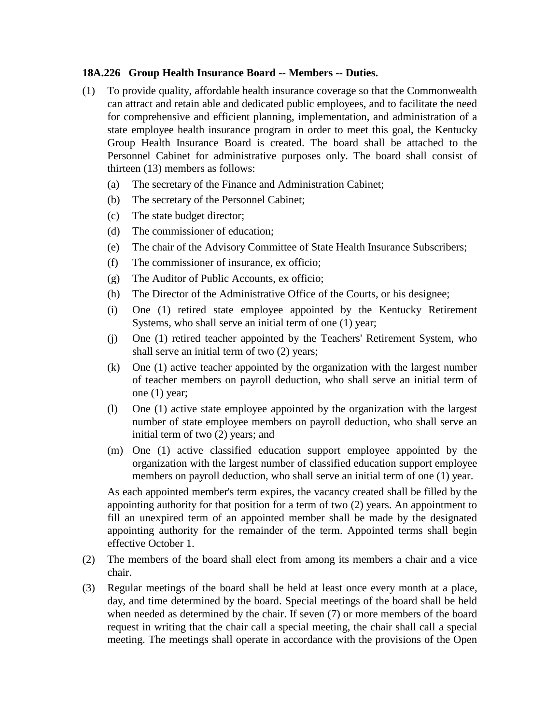## **18A.226 Group Health Insurance Board -- Members -- Duties.**

- (1) To provide quality, affordable health insurance coverage so that the Commonwealth can attract and retain able and dedicated public employees, and to facilitate the need for comprehensive and efficient planning, implementation, and administration of a state employee health insurance program in order to meet this goal, the Kentucky Group Health Insurance Board is created. The board shall be attached to the Personnel Cabinet for administrative purposes only. The board shall consist of thirteen (13) members as follows:
	- (a) The secretary of the Finance and Administration Cabinet;
	- (b) The secretary of the Personnel Cabinet;
	- (c) The state budget director;
	- (d) The commissioner of education;
	- (e) The chair of the Advisory Committee of State Health Insurance Subscribers;
	- (f) The commissioner of insurance, ex officio;
	- (g) The Auditor of Public Accounts, ex officio;
	- (h) The Director of the Administrative Office of the Courts, or his designee;
	- (i) One (1) retired state employee appointed by the Kentucky Retirement Systems, who shall serve an initial term of one (1) year;
	- (j) One (1) retired teacher appointed by the Teachers' Retirement System, who shall serve an initial term of two (2) years;
	- (k) One (1) active teacher appointed by the organization with the largest number of teacher members on payroll deduction, who shall serve an initial term of one (1) year;
	- (l) One (1) active state employee appointed by the organization with the largest number of state employee members on payroll deduction, who shall serve an initial term of two (2) years; and
	- (m) One (1) active classified education support employee appointed by the organization with the largest number of classified education support employee members on payroll deduction, who shall serve an initial term of one (1) year.

As each appointed member's term expires, the vacancy created shall be filled by the appointing authority for that position for a term of two (2) years. An appointment to fill an unexpired term of an appointed member shall be made by the designated appointing authority for the remainder of the term. Appointed terms shall begin effective October 1.

- (2) The members of the board shall elect from among its members a chair and a vice chair.
- (3) Regular meetings of the board shall be held at least once every month at a place, day, and time determined by the board. Special meetings of the board shall be held when needed as determined by the chair. If seven (7) or more members of the board request in writing that the chair call a special meeting, the chair shall call a special meeting. The meetings shall operate in accordance with the provisions of the Open